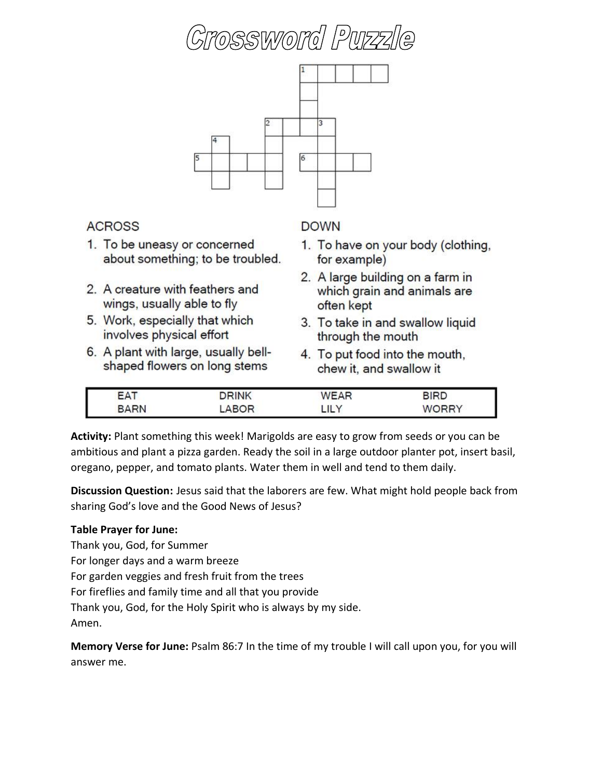# ossword Puzz



#### **ACROSS**

- 1. To be uneasy or concerned about something; to be troubled.
- 2. A creature with feathers and wings, usually able to fly
- 5. Work, especially that which involves physical effort
- 6. A plant with large, usually bellshaped flowers on long stems

#### **DOWN**

- 1. To have on your body (clothing, for example)
- 2. A large building on a farm in which grain and animals are often kept
- 3. To take in and swallow liquid through the mouth
- 4. To put food into the mouth, chew it, and swallow it

| $\sim$<br>-<br>$\sim$ | 11.117 | $\lambda$ im $\lambda$ m<br>$\sim$ |        |
|-----------------------|--------|------------------------------------|--------|
| I<br>$\wedge$ DN<br>  | םו     | $\sqrt{}$<br>---                   | ------ |

**Activity:** Plant something this week! Marigolds are easy to grow from seeds or you can be ambitious and plant a pizza garden. Ready the soil in a large outdoor planter pot, insert basil, oregano, pepper, and tomato plants. Water them in well and tend to them daily.

**Discussion Question:** Jesus said that the laborers are few. What might hold people back from sharing God's love and the Good News of Jesus?

#### **Table Prayer for June:**

Thank you, God, for Summer

For longer days and a warm breeze

For garden veggies and fresh fruit from the trees

For fireflies and family time and all that you provide

Thank you, God, for the Holy Spirit who is always by my side.

Amen.

**Memory Verse for June:** Psalm 86:7 In the time of my trouble I will call upon you, for you will answer me.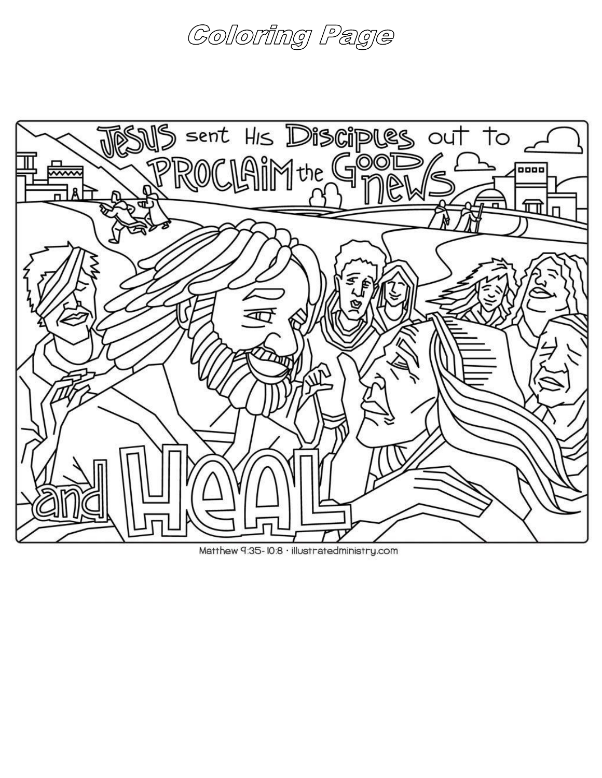## Coloring Page



Matthew 9:35-10:8 · illustratedministry.com